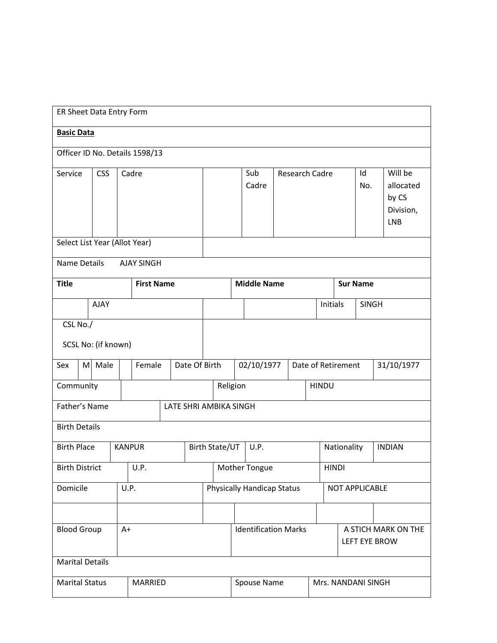|                                | ER Sheet Data Entry Form |                               |       |                             |  |                        |                                             |                          |                       |                                   |  |  |              |                    |                                                   |                       |  |               |
|--------------------------------|--------------------------|-------------------------------|-------|-----------------------------|--|------------------------|---------------------------------------------|--------------------------|-----------------------|-----------------------------------|--|--|--------------|--------------------|---------------------------------------------------|-----------------------|--|---------------|
|                                | <b>Basic Data</b>        |                               |       |                             |  |                        |                                             |                          |                       |                                   |  |  |              |                    |                                                   |                       |  |               |
| Officer ID No. Details 1598/13 |                          |                               |       |                             |  |                        |                                             |                          |                       |                                   |  |  |              |                    |                                                   |                       |  |               |
| Service                        |                          | <b>CSS</b>                    | Cadre |                             |  |                        |                                             | Sub<br>Cadre             | <b>Research Cadre</b> |                                   |  |  | Id<br>No.    |                    | Will be<br>allocated<br>by CS<br>Division,<br>LNB |                       |  |               |
|                                |                          | Select List Year (Allot Year) |       |                             |  |                        |                                             |                          |                       |                                   |  |  |              |                    |                                                   |                       |  |               |
| Name Details                   |                          |                               |       | <b>AJAY SINGH</b>           |  |                        |                                             |                          |                       |                                   |  |  |              |                    |                                                   |                       |  |               |
| <b>Title</b>                   |                          |                               |       | <b>First Name</b>           |  |                        |                                             |                          |                       | <b>Middle Name</b>                |  |  |              |                    |                                                   | <b>Sur Name</b>       |  |               |
|                                |                          | AJAY                          |       |                             |  |                        |                                             |                          | Initials              |                                   |  |  | <b>SINGH</b> |                    |                                                   |                       |  |               |
| CSL No./                       |                          |                               |       |                             |  |                        |                                             |                          |                       |                                   |  |  |              |                    |                                                   |                       |  |               |
|                                |                          | SCSL No: (if known)           |       |                             |  |                        |                                             |                          |                       |                                   |  |  |              |                    |                                                   |                       |  |               |
| Sex                            |                          | M Male                        |       | Female                      |  | Date Of Birth          |                                             |                          |                       | 02/10/1977                        |  |  |              | Date of Retirement |                                                   |                       |  | 31/10/1977    |
| Community                      |                          |                               |       |                             |  |                        |                                             | Religion<br><b>HINDU</b> |                       |                                   |  |  |              |                    |                                                   |                       |  |               |
| Father's Name                  |                          |                               |       |                             |  | LATE SHRI AMBIKA SINGH |                                             |                          |                       |                                   |  |  |              |                    |                                                   |                       |  |               |
| <b>Birth Details</b>           |                          |                               |       |                             |  |                        |                                             |                          |                       |                                   |  |  |              |                    |                                                   |                       |  |               |
| <b>Birth Place</b>             |                          |                               |       | <b>KANPUR</b>               |  |                        |                                             | Birth State/UT           |                       | U.P.                              |  |  |              |                    | Nationality                                       |                       |  | <b>INDIAN</b> |
| <b>Birth District</b>          |                          |                               |       | U.P.                        |  |                        |                                             |                          |                       | Mother Tongue                     |  |  |              |                    | HINDI                                             |                       |  |               |
| Domicile                       |                          |                               |       | U.P.                        |  |                        |                                             |                          |                       | <b>Physically Handicap Status</b> |  |  |              |                    |                                                   | <b>NOT APPLICABLE</b> |  |               |
|                                |                          |                               |       |                             |  |                        |                                             |                          |                       |                                   |  |  |              |                    |                                                   |                       |  |               |
| <b>Blood Group</b><br>$A+$     |                          |                               |       | <b>Identification Marks</b> |  |                        | A STICH MARK ON THE<br><b>LEFT EYE BROW</b> |                          |                       |                                   |  |  |              |                    |                                                   |                       |  |               |
| <b>Marital Details</b>         |                          |                               |       |                             |  |                        |                                             |                          |                       |                                   |  |  |              |                    |                                                   |                       |  |               |
| <b>Marital Status</b>          |                          |                               |       | MARRIED                     |  |                        |                                             |                          |                       | Spouse Name                       |  |  |              |                    |                                                   | Mrs. NANDANI SINGH    |  |               |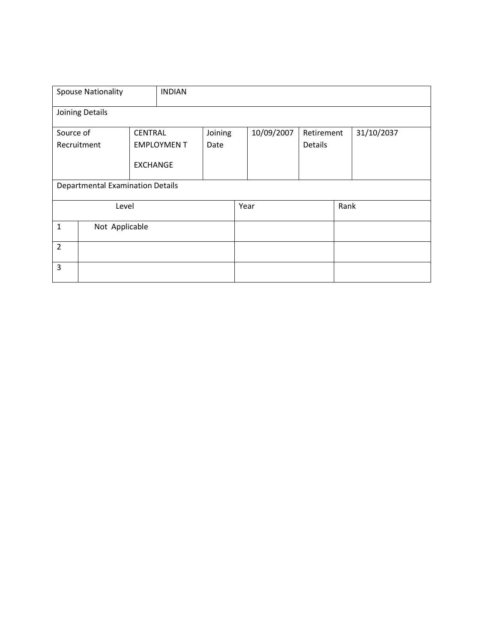|                | <b>Spouse Nationality</b>               |                 | <b>INDIAN</b>     |         |      |                          |         |  |            |
|----------------|-----------------------------------------|-----------------|-------------------|---------|------|--------------------------|---------|--|------------|
|                | Joining Details                         |                 |                   |         |      |                          |         |  |            |
| Source of      |                                         | <b>CENTRAL</b>  |                   | Joining |      | 10/09/2007<br>Retirement |         |  | 31/10/2037 |
| Recruitment    |                                         |                 | <b>EMPLOYMENT</b> | Date    |      |                          | Details |  |            |
|                |                                         | <b>EXCHANGE</b> |                   |         |      |                          |         |  |            |
|                | <b>Departmental Examination Details</b> |                 |                   |         |      |                          |         |  |            |
|                | Level                                   |                 |                   |         | Year |                          | Rank    |  |            |
| $\mathbf{1}$   | Not Applicable                          |                 |                   |         |      |                          |         |  |            |
| $\overline{2}$ |                                         |                 |                   |         |      |                          |         |  |            |
| 3              |                                         |                 |                   |         |      |                          |         |  |            |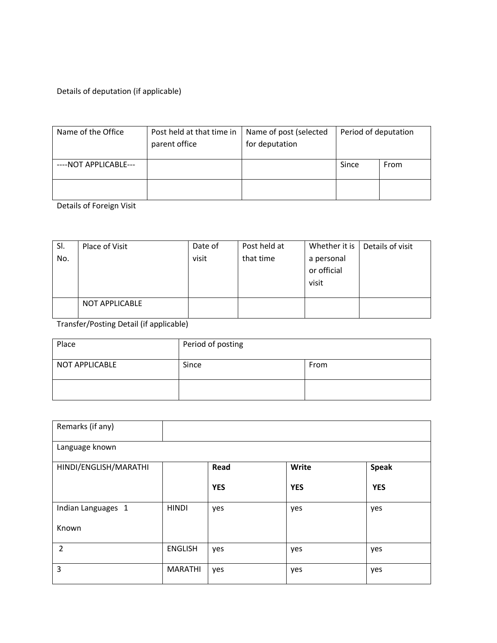Details of deputation (if applicable)

| Name of the Office    | Post held at that time in<br>parent office | Name of post (selected<br>for deputation | Period of deputation |      |  |
|-----------------------|--------------------------------------------|------------------------------------------|----------------------|------|--|
| ----NOT APPLICABLE--- |                                            |                                          | Since                | From |  |
|                       |                                            |                                          |                      |      |  |

Details of Foreign Visit

| SI. | Place of Visit        | Date of | Post held at | Whether it is | Details of visit |
|-----|-----------------------|---------|--------------|---------------|------------------|
| No. |                       | visit   | that time    | a personal    |                  |
|     |                       |         |              | or official   |                  |
|     |                       |         |              | visit         |                  |
|     |                       |         |              |               |                  |
|     | <b>NOT APPLICABLE</b> |         |              |               |                  |

Transfer/Posting Detail (if applicable)

| Place          | Period of posting |      |  |  |  |
|----------------|-------------------|------|--|--|--|
| NOT APPLICABLE | Since             | From |  |  |  |
|                |                   |      |  |  |  |

| Remarks (if any)      |                |            |            |              |  |  |  |  |  |
|-----------------------|----------------|------------|------------|--------------|--|--|--|--|--|
| Language known        |                |            |            |              |  |  |  |  |  |
| HINDI/ENGLISH/MARATHI |                | Read       | Write      | <b>Speak</b> |  |  |  |  |  |
|                       |                | <b>YES</b> | <b>YES</b> | <b>YES</b>   |  |  |  |  |  |
| Indian Languages 1    | <b>HINDI</b>   | yes        | yes        | yes          |  |  |  |  |  |
| Known                 |                |            |            |              |  |  |  |  |  |
| $\overline{2}$        | <b>ENGLISH</b> | yes        | yes        | yes          |  |  |  |  |  |
| 3                     | <b>MARATHI</b> | yes        | yes        | yes          |  |  |  |  |  |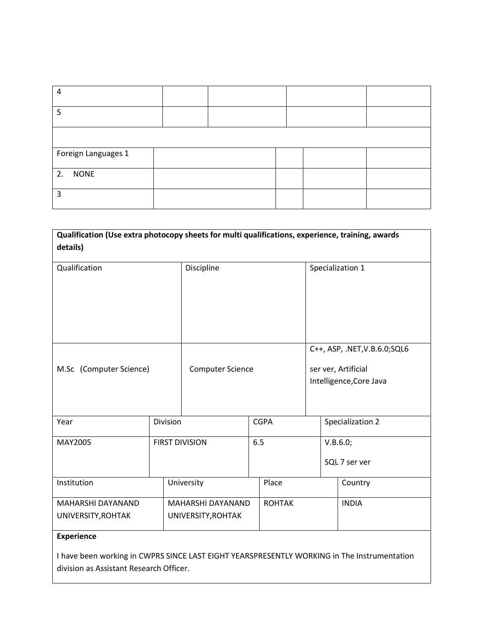| 4                   |  |  |  |  |  |  |  |  |  |  |
|---------------------|--|--|--|--|--|--|--|--|--|--|
| 5                   |  |  |  |  |  |  |  |  |  |  |
|                     |  |  |  |  |  |  |  |  |  |  |
| Foreign Languages 1 |  |  |  |  |  |  |  |  |  |  |
| 2. NONE             |  |  |  |  |  |  |  |  |  |  |
| κ                   |  |  |  |  |  |  |  |  |  |  |

| Qualification (Use extra photocopy sheets for multi qualifications, experience, training, awards |            |                         |     |                               |                         |  |               |  |  |  |
|--------------------------------------------------------------------------------------------------|------------|-------------------------|-----|-------------------------------|-------------------------|--|---------------|--|--|--|
| details)                                                                                         |            |                         |     |                               |                         |  |               |  |  |  |
| Qualification                                                                                    | Discipline |                         |     | Specialization 1              |                         |  |               |  |  |  |
|                                                                                                  |            |                         |     |                               |                         |  |               |  |  |  |
|                                                                                                  |            |                         |     |                               |                         |  |               |  |  |  |
|                                                                                                  |            |                         |     | C++, ASP, .NET, V.B.6.0; SQL6 |                         |  |               |  |  |  |
| M.Sc (Computer Science)                                                                          |            | <b>Computer Science</b> |     |                               | ser ver, Artificial     |  |               |  |  |  |
|                                                                                                  |            |                         |     |                               | Intelligence, Core Java |  |               |  |  |  |
|                                                                                                  |            |                         |     |                               |                         |  |               |  |  |  |
| Year                                                                                             | Division   |                         |     | <b>CGPA</b>                   | Specialization 2        |  |               |  |  |  |
| MAY2005                                                                                          |            | <b>FIRST DIVISION</b>   | 6.5 |                               |                         |  | V.B.6.0;      |  |  |  |
|                                                                                                  |            |                         |     |                               |                         |  | SQL 7 ser ver |  |  |  |
| Institution                                                                                      |            | University              |     | Place                         |                         |  | Country       |  |  |  |
| MAHARSHI DAYANAND                                                                                |            | MAHARSHI DAYANAND       |     | <b>ROHTAK</b>                 |                         |  | <b>INDIA</b>  |  |  |  |
| UNIVERSITY, ROHTAK                                                                               |            | UNIVERSITY, ROHTAK      |     |                               |                         |  |               |  |  |  |
| <b>Experience</b>                                                                                |            |                         |     |                               |                         |  |               |  |  |  |
|                                                                                                  |            |                         |     |                               |                         |  |               |  |  |  |

I have been working in CWPRS SINCE LAST EIGHT YEARSPRESENTLY WORKING in The Instrumentation division as Assistant Research Officer.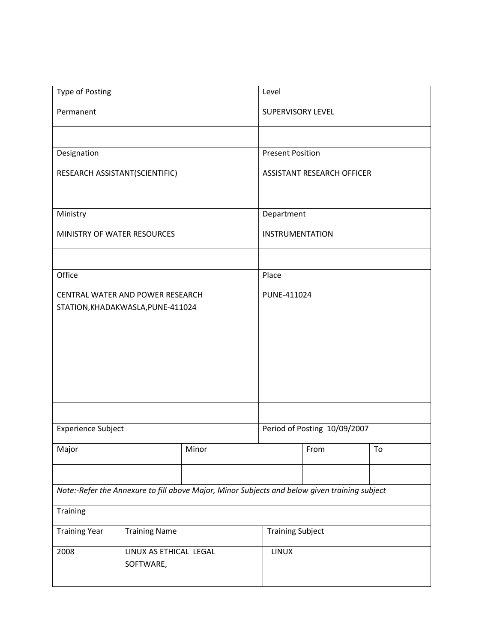| Type of Posting                   |                        |                                                                                               | Level                   |                                   |    |  |  |  |
|-----------------------------------|------------------------|-----------------------------------------------------------------------------------------------|-------------------------|-----------------------------------|----|--|--|--|
| Permanent                         |                        |                                                                                               | SUPERVISORY LEVEL       |                                   |    |  |  |  |
|                                   |                        |                                                                                               |                         |                                   |    |  |  |  |
| Designation                       |                        |                                                                                               | <b>Present Position</b> |                                   |    |  |  |  |
| RESEARCH ASSISTANT(SCIENTIFIC)    |                        |                                                                                               |                         | <b>ASSISTANT RESEARCH OFFICER</b> |    |  |  |  |
|                                   |                        |                                                                                               |                         |                                   |    |  |  |  |
| Ministry                          |                        |                                                                                               | Department              |                                   |    |  |  |  |
| MINISTRY OF WATER RESOURCES       |                        |                                                                                               | <b>INSTRUMENTATION</b>  |                                   |    |  |  |  |
|                                   |                        |                                                                                               |                         |                                   |    |  |  |  |
| Office                            |                        |                                                                                               | Place                   |                                   |    |  |  |  |
| CENTRAL WATER AND POWER RESEARCH  |                        |                                                                                               | PUNE-411024             |                                   |    |  |  |  |
| STATION, KHADAKWASLA, PUNE-411024 |                        |                                                                                               |                         |                                   |    |  |  |  |
|                                   |                        |                                                                                               |                         |                                   |    |  |  |  |
|                                   |                        |                                                                                               |                         |                                   |    |  |  |  |
|                                   |                        |                                                                                               |                         |                                   |    |  |  |  |
|                                   |                        |                                                                                               |                         |                                   |    |  |  |  |
|                                   |                        |                                                                                               |                         |                                   |    |  |  |  |
|                                   |                        |                                                                                               |                         |                                   |    |  |  |  |
| <b>Experience Subject</b>         |                        |                                                                                               |                         | Period of Posting 10/09/2007      |    |  |  |  |
| Major                             |                        | Minor                                                                                         |                         | From                              | To |  |  |  |
|                                   |                        |                                                                                               |                         |                                   |    |  |  |  |
|                                   |                        | Note:-Refer the Annexure to fill above Major, Minor Subjects and below given training subject |                         |                                   |    |  |  |  |
| Training                          |                        |                                                                                               |                         |                                   |    |  |  |  |
| <b>Training Year</b>              | <b>Training Name</b>   |                                                                                               | <b>Training Subject</b> |                                   |    |  |  |  |
| 2008                              | LINUX AS ETHICAL LEGAL |                                                                                               | LINUX                   |                                   |    |  |  |  |
|                                   | SOFTWARE,              |                                                                                               |                         |                                   |    |  |  |  |
|                                   |                        |                                                                                               |                         |                                   |    |  |  |  |